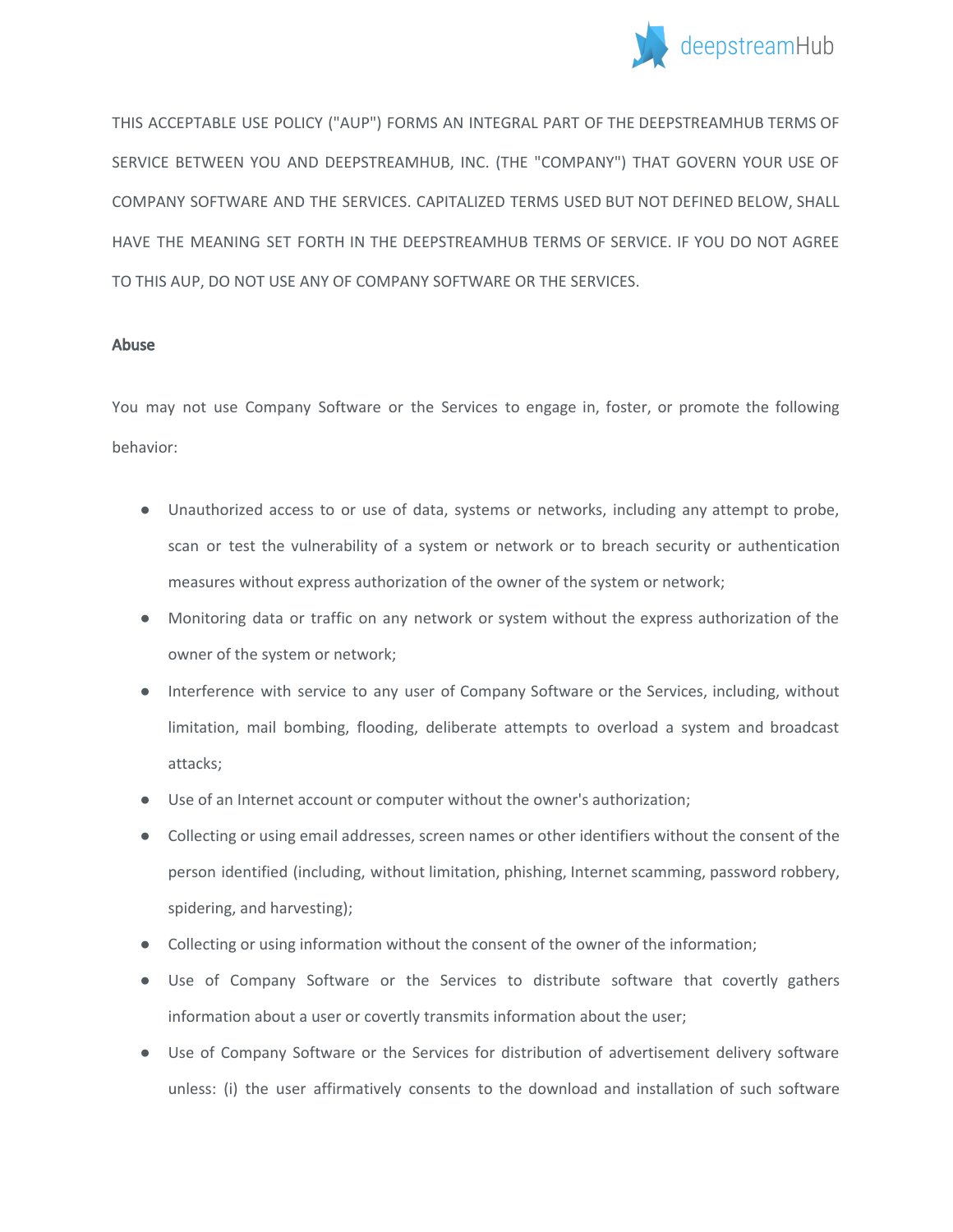

THIS ACCEPTABLE USE POLICY ("AUP") FORMS AN INTEGRAL PART OF THE DEEPSTREAMHUB TERMS OF SERVICE BETWEEN YOU AND DEEPSTREAMHUB, INC. (THE "COMPANY") THAT GOVERN YOUR USE OF COMPANY SOFTWARE AND THE SERVICES. CAPITALIZED TERMS USED BUT NOT DEFINED BELOW, SHALL HAVE THE MEANING SET FORTH IN THE DEEPSTREAMHUB TERMS OF SERVICE. IF YOU DO NOT AGREE TO THIS AUP, DO NOT USE ANY OF COMPANY SOFTWARE OR THE SERVICES.

## Abuse

You may not use Company Software or the Services to engage in, foster, or promote the following behavior:

- Unauthorized access to or use of data, systems or networks, including any attempt to probe, scan or test the vulnerability of a system or network or to breach security or authentication measures without express authorization of the owner of the system or network;
- Monitoring data or traffic on any network or system without the express authorization of the owner of the system or network;
- Interference with service to any user of Company Software or the Services, including, without limitation, mail bombing, flooding, deliberate attempts to overload a system and broadcast attacks;
- Use of an Internet account or computer without the owner's authorization;
- Collecting or using email addresses, screen names or other identifiers without the consent of the person identified (including, without limitation, phishing, Internet scamming, password robbery, spidering, and harvesting);
- Collecting or using information without the consent of the owner of the information;
- Use of Company Software or the Services to distribute software that covertly gathers information about a user or covertly transmits information about the user;
- Use of Company Software or the Services for distribution of advertisement delivery software unless: (i) the user affirmatively consents to the download and installation of such software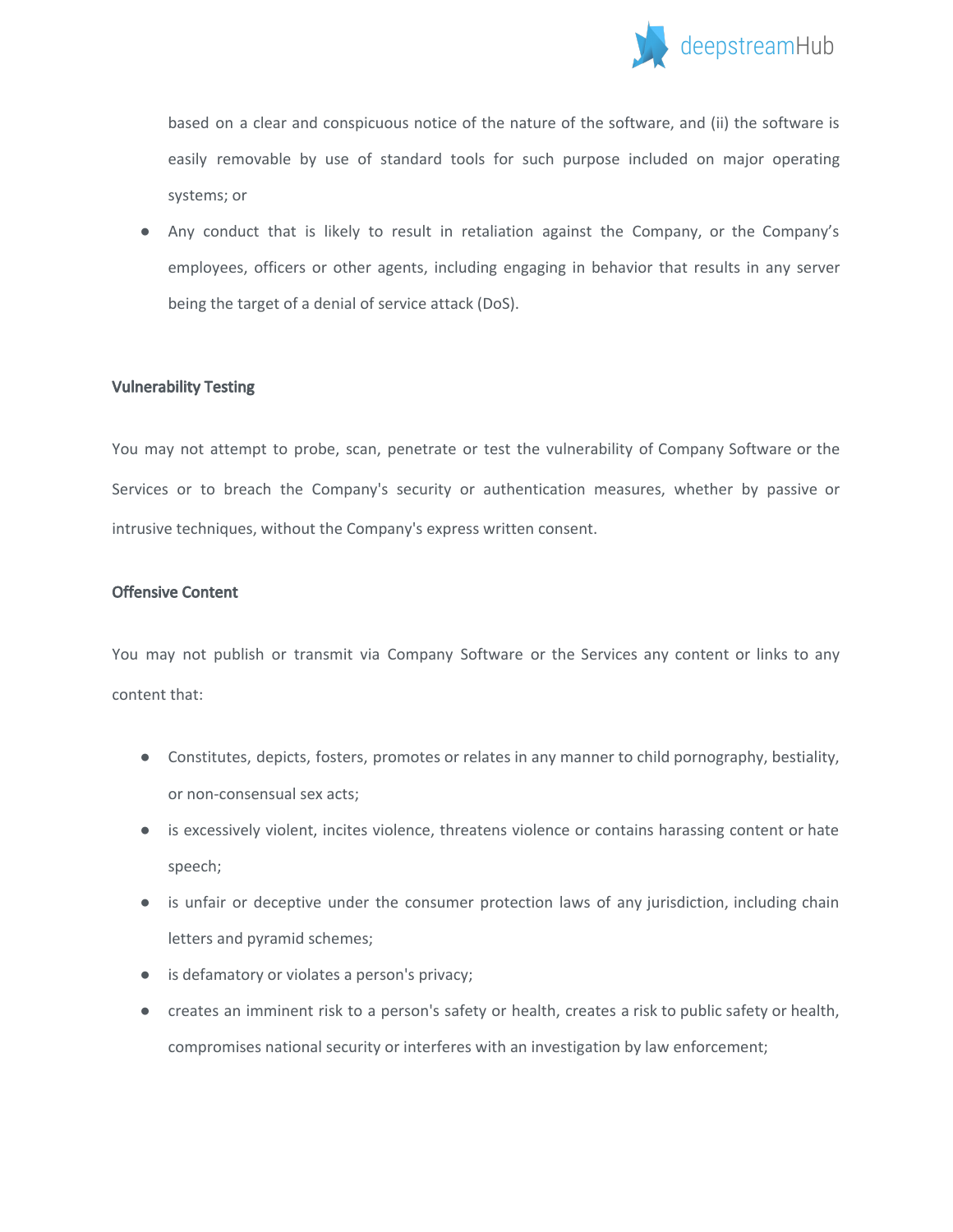

based on a clear and conspicuous notice of the nature of the software, and (ii) the software is easily removable by use of standard tools for such purpose included on major operating systems; or

● Any conduct that is likely to result in retaliation against the Company, or the Company's employees, officers or other agents, including engaging in behavior that results in any server being the target of a denial of service attack (DoS).

## Vulnerability Testing

You may not attempt to probe, scan, penetrate or test the vulnerability of Company Software or the Services or to breach the Company's security or authentication measures, whether by passive or intrusive techniques, without the Company's express written consent.

## Offensive Content

You may not publish or transmit via Company Software or the Services any content or links to any content that:

- Constitutes, depicts, fosters, promotes or relates in any manner to child pornography, bestiality, or non-consensual sex acts;
- is excessively violent, incites violence, threatens violence or contains harassing content or hate speech;
- is unfair or deceptive under the consumer protection laws of any jurisdiction, including chain letters and pyramid schemes;
- is defamatory or violates a person's privacy;
- creates an imminent risk to a person's safety or health, creates a risk to public safety or health, compromises national security or interferes with an investigation by law enforcement;